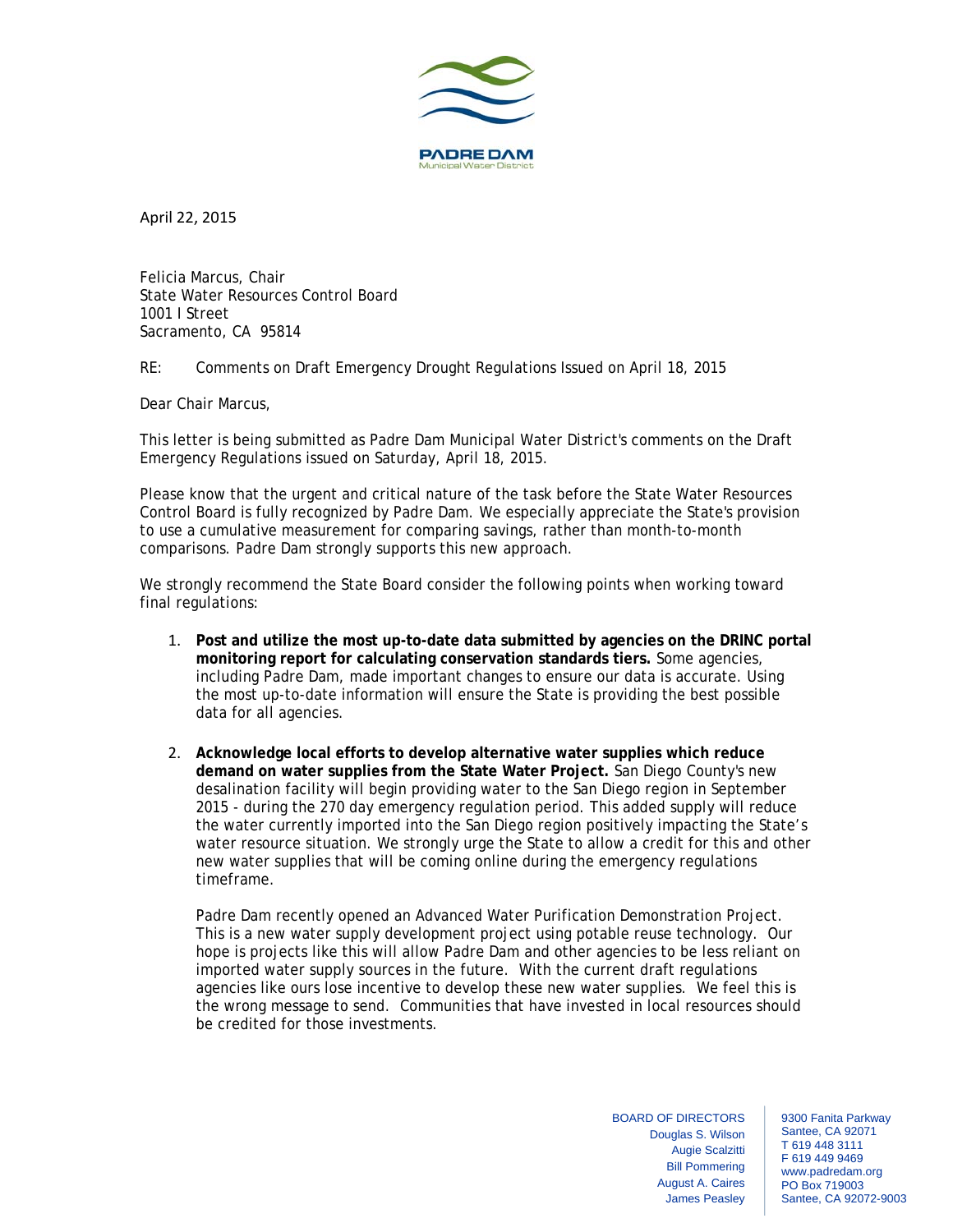

April 22, 2015

Felicia Marcus, Chair State Water Resources Control Board 1001 I Street Sacramento, CA 95814

RE: Comments on Draft Emergency Drought Regulations Issued on April 18, 2015

Dear Chair Marcus,

This letter is being submitted as Padre Dam Municipal Water District's comments on the Draft Emergency Regulations issued on Saturday, April 18, 2015.

Please know that the urgent and critical nature of the task before the State Water Resources Control Board is fully recognized by Padre Dam. We especially appreciate the State's provision to use a cumulative measurement for comparing savings, rather than month-to-month comparisons. Padre Dam strongly supports this new approach.

We strongly recommend the State Board consider the following points when working toward final regulations:

- 1. **Post and utilize the most up-to-date data submitted by agencies on the DRINC portal monitoring report for calculating conservation standards tiers.** Some agencies, including Padre Dam, made important changes to ensure our data is accurate. Using the most up-to-date information will ensure the State is providing the best possible data for all agencies.
- 2. **Acknowledge local efforts to develop alternative water supplies which reduce demand on water supplies from the State Water Project.** San Diego County's new desalination facility will begin providing water to the San Diego region in September 2015 - during the 270 day emergency regulation period. This added supply will reduce the water currently imported into the San Diego region positively impacting the State's water resource situation. We strongly urge the State to allow a credit for this and other new water supplies that will be coming online during the emergency regulations timeframe.

Padre Dam recently opened an Advanced Water Purification Demonstration Project. This is a new water supply development project using potable reuse technology. Our hope is projects like this will allow Padre Dam and other agencies to be less reliant on imported water supply sources in the future. With the current draft regulations agencies like ours lose incentive to develop these new water supplies. We feel this is the wrong message to send. Communities that have invested in local resources should be credited for those investments.

> BOARD OF DIRECTORS Douglas S. Wilson Augie Scalzitti Bill Pommering August A. Caires James Peasley

9300 Fanita Parkway Santee, CA 92071 T 619 448 3111 F 619 449 9469 www.padredam.org PO Box 719003 Santee, CA 92072-9003